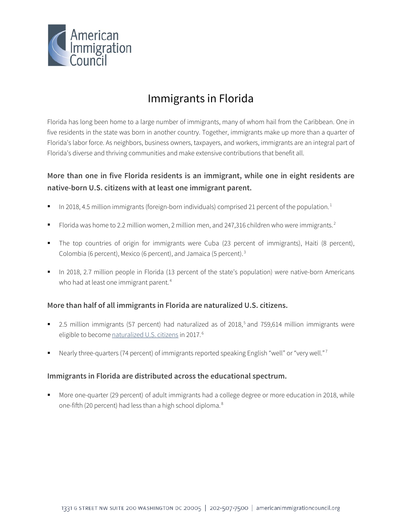

# Immigrants in Florida

Florida has long been home to a large number of immigrants, many of whom hail from the Caribbean. One in five residents in the state was born in another country. Together, immigrants make up more than a quarter of Florida's labor force. As neighbors, business owners, taxpayers, and workers, immigrants are an integral part of Florida's diverse and thriving communities and make extensive contributions that benefit all.

# **More than one in five Florida residents is an immigrant, while one in eight residents are native-born U.S. citizens with at least one immigrant parent.**

- In 20[1](#page-4-0)8, 4.5 million immigrants (foreign-born individuals) comprised 21 percent of the population.<sup>1</sup>
- Florida was home to [2](#page-4-1).2 million women, 2 million men, and 247,316 children who were immigrants.<sup>2</sup>
- The top countries of origin for immigrants were Cuba (23 percent of immigrants), Haiti (8 percent), Colombia (6 percent), Mexico (6 percent), and Jamaica (5 percent). [3](#page-4-2)
- In 2018, 2.7 million people in Florida (13 percent of the state's population) were native-born Americans who had at least one immigrant parent.<sup>[4](#page-4-3)</sup>

## **More than half of all immigrants in Florida are naturalized U.S. citizens.**

- 2.[5](#page-4-4) million immigrants (57 percent) had naturalized as of 2018,<sup>5</sup> and 759,614 million immigrants were eligible to becom[e naturalized U.S. citizens](http://data.cmsny.org/state.html) in 2017.<sup>[6](#page-4-5)</sup>
- Nearly three-quarters (74 percent) of immigrants reported speaking English "well" or "very well." [7](#page-4-6)

## **Immigrants in Florida are distributed across the educational spectrum.**

 More one-quarter (29 percent) of adult immigrants had a college degree or more education in 2018, while one-fifth (20 percent) had less than a high school diploma.<sup>[8](#page-4-7)</sup>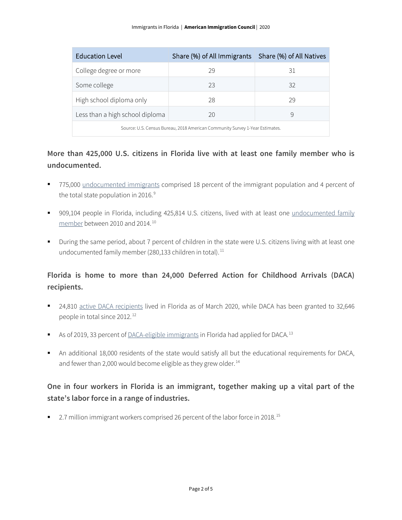| <b>Education Level</b>                                                       | Share (%) of All Immigrants   Share (%) of All Natives |    |  |
|------------------------------------------------------------------------------|--------------------------------------------------------|----|--|
| College degree or more                                                       | 29                                                     | 31 |  |
| Some college                                                                 | 23                                                     | 32 |  |
| High school diploma only                                                     | 28                                                     | 29 |  |
| Less than a high school diploma                                              | 20                                                     | Ч  |  |
| Source: U.S. Census Bureau, 2018 American Community Survey 1-Year Estimates. |                                                        |    |  |

# **More than 425,000 U.S. citizens in Florida live with at least one family member who is undocumented.**

- 775,000 [undocumented immigrants](http://www.pewhispanic.org/interactives/unauthorized-immigrants/) comprised 18 percent of the immigrant population and 4 percent of the total state population in 2016.<sup>[9](#page-4-8)</sup>
- 909,104 people in Florida, including 425,814 U.S. citizens, lived with at least one undocumented family [member](https://www.americanprogress.org/issues/immigration/news/2017/03/16/427868/state-state-estimates-family-members-unauthorized-immigrants/) between 2010 and 2014. [10](#page-4-9)
- During the same period, about 7 percent of children in the state were U.S. citizens living with at least one undocumented family member (280,133 children in total).<sup>[11](#page-4-10)</sup>

# **Florida is home to more than 24,000 Deferred Action for Childhood Arrivals (DACA) recipients.**

- 24,810 [active DACA recipients](https://www.uscis.gov/sites/default/files/document/data/Approximate%20Active%20DACA%20Receipts%20-%20March%2031%2C%202020.pdf) lived in Florida as of March 2020, while DACA has been granted to 32,646 people in total since 2012. [12](#page-4-11)
- As of 2019, 33 percent o[f DACA-eligible immigrants](http://www.migrationpolicy.org/programs/data-hub/deferred-action-childhood-arrivals-daca-profiles) in Florida had applied for DACA.<sup>[13](#page-4-12)</sup>
- An additional 18,000 residents of the state would satisfy all but the educational requirements for DACA, and fewer than 2,000 would become eligible as they grew older.<sup>[14](#page-4-13)</sup>

# **One in four workers in Florida is an immigrant, together making up a vital part of the state's labor force in a range of industries.**

■ 2.7 million immigrant workers comprised 26 percent of the labor force in 2018.<sup>[15](#page-4-14)</sup>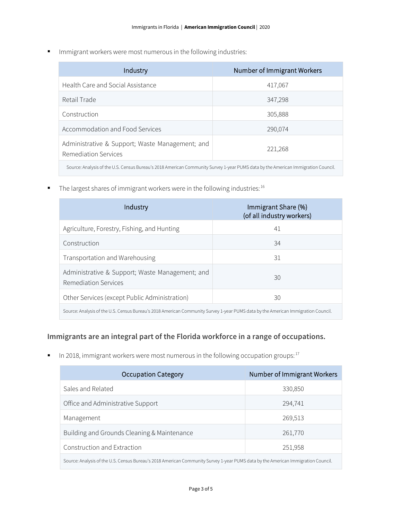**IMMI** Immigrant workers were most numerous in the following industries:

| Industry                                                                                                                          | Number of Immigrant Workers |  |
|-----------------------------------------------------------------------------------------------------------------------------------|-----------------------------|--|
| Health Care and Social Assistance                                                                                                 | 417,067                     |  |
| Retail Trade                                                                                                                      | 347,298                     |  |
| Construction                                                                                                                      | 305,888                     |  |
| Accommodation and Food Services                                                                                                   | 290,074                     |  |
| Administrative & Support; Waste Management; and<br>Remediation Services                                                           | 221,268                     |  |
| Source: Analysis of the U.S. Census Bureau's 2018 American Community Survey 1-year PUMS data by the American Immigration Council. |                             |  |

The largest shares of immigrant workers were in the following industries:  $16$ 

| Industry                                                                                                                          | Immigrant Share (%)<br>(of all industry workers) |  |
|-----------------------------------------------------------------------------------------------------------------------------------|--------------------------------------------------|--|
| Agriculture, Forestry, Fishing, and Hunting                                                                                       | 41                                               |  |
| Construction                                                                                                                      | 34                                               |  |
| Transportation and Warehousing                                                                                                    | 31                                               |  |
| Administrative & Support; Waste Management; and<br>Remediation Services                                                           | 30                                               |  |
| Other Services (except Public Administration)                                                                                     | 30                                               |  |
| Source: Analysis of the U.S. Census Bureau's 2018 American Community Survey 1-year PUMS data by the American Immigration Council. |                                                  |  |

## **Immigrants are an integral part of the Florida workforce in a range of occupations.**

In 2018, immigrant workers were most numerous in the following occupation groups:  $17$ 

| <b>Occupation Category</b>                                                                                                        | Number of Immigrant Workers |  |
|-----------------------------------------------------------------------------------------------------------------------------------|-----------------------------|--|
| Sales and Related                                                                                                                 | 330,850                     |  |
| Office and Administrative Support                                                                                                 | 294,741                     |  |
| Management                                                                                                                        | 269,513                     |  |
| Building and Grounds Cleaning & Maintenance                                                                                       | 261,770                     |  |
| Construction and Extraction                                                                                                       | 251,958                     |  |
| Source: Analysis of the U.S. Census Bureau's 2018 American Community Survey 1-year PUMS data by the American Immigration Council. |                             |  |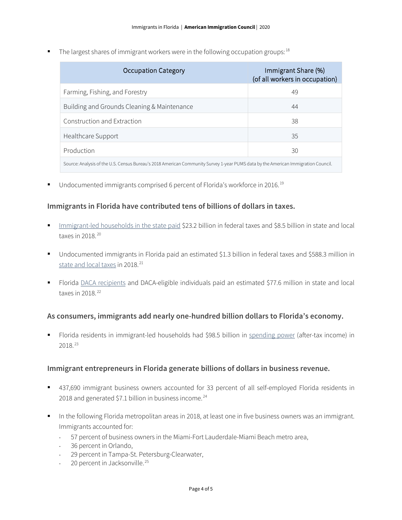The largest shares of immigrant workers were in the following occupation groups:  $18$ 

| Occupation Category                                                                                                               | Immigrant Share (%)<br>(of all workers in occupation) |  |
|-----------------------------------------------------------------------------------------------------------------------------------|-------------------------------------------------------|--|
| Farming, Fishing, and Forestry                                                                                                    | 49                                                    |  |
| Building and Grounds Cleaning & Maintenance                                                                                       | 44                                                    |  |
| Construction and Extraction                                                                                                       | 38                                                    |  |
| Healthcare Support                                                                                                                | 35                                                    |  |
| Production                                                                                                                        | 30                                                    |  |
| Source: Analysis of the U.S. Census Bureau's 2018 American Community Survey 1-year PUMS data by the American Immigration Council. |                                                       |  |

■ Undocumented immigrants comprised 6 percent of Florida's workforce in 2016.<sup>[19](#page-4-18)</sup>

#### **Immigrants in Florida have contributed tens of billions of dollars in taxes.**

- [Immigrant-led households in the state paid](https://www.newamericaneconomy.org/locations/) \$23.2 billion in federal taxes and \$8.5 billion in state and local taxes in 2018. [20](#page-4-19)
- Undocumented immigrants in Florida paid an estimated \$1.3 billion in federal taxes and \$588.3 million in [state and local taxes](https://www.newamericaneconomy.org/locations/) in 2018.<sup>[21](#page-4-20)</sup>
- Florida [DACA recipients](https://itep.org/state-local-tax-contributions-of-young-undocumented-immigrants/) and DACA-eligible individuals paid an estimated \$77.6 million in state and local taxes in 2018.<sup>[22](#page-4-21)</sup>

#### **As consumers, immigrants add nearly one-hundred billion dollars to Florida's economy.**

 Florida residents in immigrant-led households had \$98.5 billion in [spending power](https://www.newamericaneconomy.org/locations/) (after-tax income) in 2018. [23](#page-4-22)

#### **Immigrant entrepreneurs in Florida generate billions of dollars in business revenue.**

- 437,690 immigrant business owners accounted for 33 percent of all self-employed Florida residents in 2018 and generated \$7.1 billion in business income.<sup>[24](#page-4-23)</sup>
- In the following Florida metropolitan areas in 2018, at least one in five business owners was an immigrant. Immigrants accounted for:
	- ⋅ 57 percent of business owners in the Miami-Fort Lauderdale-Miami Beach metro area,
	- 36 percent in Orlando,
	- 29 percent in Tampa-St. Petersburg-Clearwater,
	- ⋅ 20 percent in Jacksonville. [25](#page-4-24)